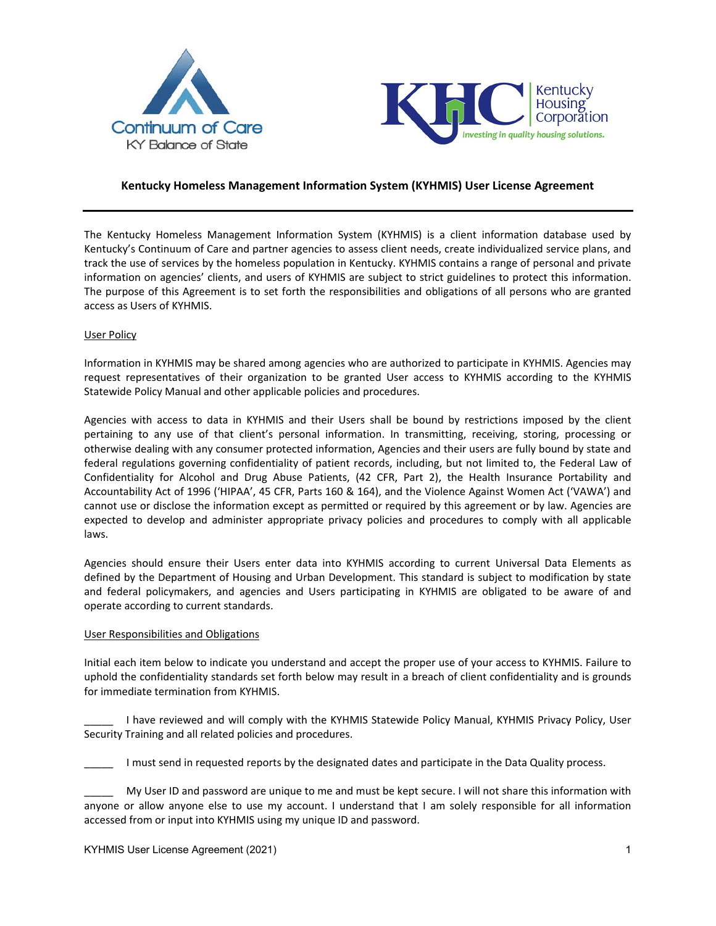



# **Kentucky Homeless Management Information System (KYHMIS) User License Agreement**

The Kentucky Homeless Management Information System (KYHMIS) is a client information database used by Kentucky's Continuum of Care and partner agencies to assess client needs, create individualized service plans, and track the use of services by the homeless population in Kentucky. KYHMIS contains a range of personal and private information on agencies' clients, and users of KYHMIS are subject to strict guidelines to protect this information. The purpose of this Agreement is to set forth the responsibilities and obligations of all persons who are granted access as Users of KYHMIS.

#### User Policy

Information in KYHMIS may be shared among agencies who are authorized to participate in KYHMIS. Agencies may request representatives of their organization to be granted User access to KYHMIS according to the KYHMIS Statewide Policy Manual and other applicable policies and procedures.

Agencies with access to data in KYHMIS and their Users shall be bound by restrictions imposed by the client pertaining to any use of that client's personal information. In transmitting, receiving, storing, processing or otherwise dealing with any consumer protected information, Agencies and their users are fully bound by state and federal regulations governing confidentiality of patient records, including, but not limited to, the Federal Law of Confidentiality for Alcohol and Drug Abuse Patients, (42 CFR, Part 2), the Health Insurance Portability and Accountability Act of 1996 ('HIPAA', 45 CFR, Parts 160 & 164), and the Violence Against Women Act ('VAWA') and cannot use or disclose the information except as permitted or required by this agreement or by law. Agencies are expected to develop and administer appropriate privacy policies and procedures to comply with all applicable laws.

Agencies should ensure their Users enter data into KYHMIS according to current Universal Data Elements as defined by the Department of Housing and Urban Development. This standard is subject to modification by state and federal policymakers, and agencies and Users participating in KYHMIS are obligated to be aware of and operate according to current standards.

#### User Responsibilities and Obligations

Initial each item below to indicate you understand and accept the proper use of your access to KYHMIS. Failure to uphold the confidentiality standards set forth below may result in a breach of client confidentiality and is grounds for immediate termination from KYHMIS.

I have reviewed and will comply with the KYHMIS Statewide Policy Manual, KYHMIS Privacy Policy, User Security Training and all related policies and procedures.

I must send in requested reports by the designated dates and participate in the Data Quality process.

My User ID and password are unique to me and must be kept secure. I will not share this information with anyone or allow anyone else to use my account. I understand that I am solely responsible for all information accessed from or input into KYHMIS using my unique ID and password.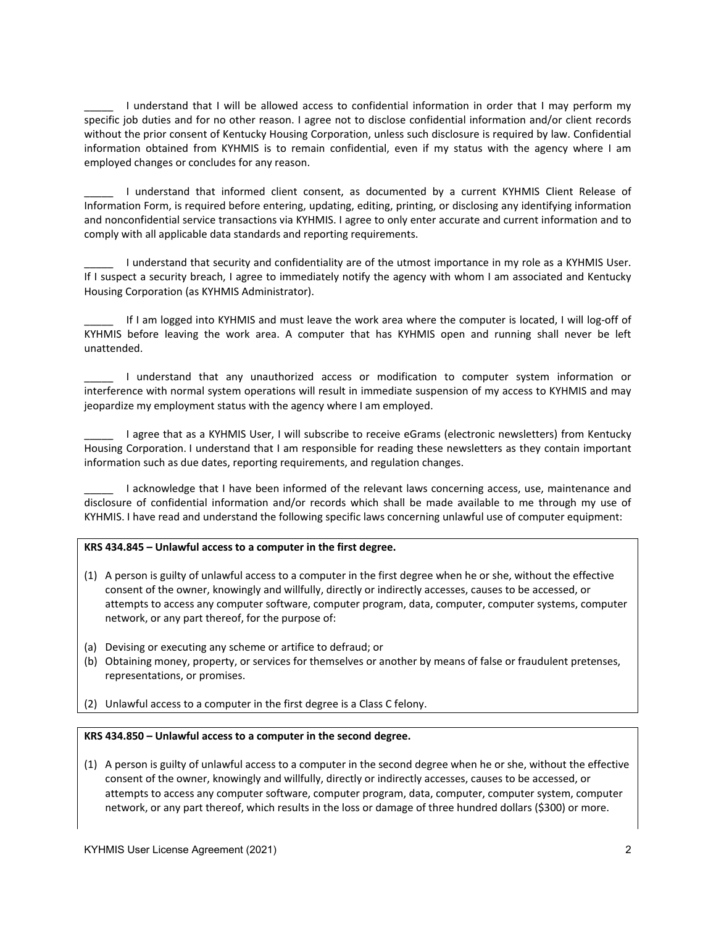I understand that I will be allowed access to confidential information in order that I may perform my specific job duties and for no other reason. I agree not to disclose confidential information and/or client records without the prior consent of Kentucky Housing Corporation, unless such disclosure is required by law. Confidential information obtained from KYHMIS is to remain confidential, even if my status with the agency where I am employed changes or concludes for any reason.

I understand that informed client consent, as documented by a current KYHMIS Client Release of Information Form, is required before entering, updating, editing, printing, or disclosing any identifying information and nonconfidential service transactions via KYHMIS. I agree to only enter accurate and current information and to comply with all applicable data standards and reporting requirements.

I understand that security and confidentiality are of the utmost importance in my role as a KYHMIS User. If I suspect a security breach, I agree to immediately notify the agency with whom I am associated and Kentucky Housing Corporation (as KYHMIS Administrator).

If I am logged into KYHMIS and must leave the work area where the computer is located, I will log-off of KYHMIS before leaving the work area. A computer that has KYHMIS open and running shall never be left unattended.

\_\_\_\_\_ I understand that any unauthorized access or modification to computer system information or interference with normal system operations will result in immediate suspension of my access to KYHMIS and may jeopardize my employment status with the agency where I am employed.

I agree that as a KYHMIS User, I will subscribe to receive eGrams (electronic newsletters) from Kentucky Housing Corporation. I understand that I am responsible for reading these newsletters as they contain important information such as due dates, reporting requirements, and regulation changes.

I acknowledge that I have been informed of the relevant laws concerning access, use, maintenance and disclosure of confidential information and/or records which shall be made available to me through my use of KYHMIS. I have read and understand the following specific laws concerning unlawful use of computer equipment:

## **KRS 434.845 – Unlawful access to a computer in the first degree.**

- (1) A person is guilty of unlawful access to a computer in the first degree when he or she, without the effective consent of the owner, knowingly and willfully, directly or indirectly accesses, causes to be accessed, or attempts to access any computer software, computer program, data, computer, computer systems, computer network, or any part thereof, for the purpose of:
- (a) Devising or executing any scheme or artifice to defraud; or
- (b) Obtaining money, property, or services for themselves or another by means of false or fraudulent pretenses, representations, or promises.
- (2) Unlawful access to a computer in the first degree is a Class C felony.

#### **KRS 434.850 – Unlawful access to a computer in the second degree.**

(1) A person is guilty of unlawful access to a computer in the second degree when he or she, without the effective consent of the owner, knowingly and willfully, directly or indirectly accesses, causes to be accessed, or attempts to access any computer software, computer program, data, computer, computer system, computer network, or any part thereof, which results in the loss or damage of three hundred dollars (\$300) or more.